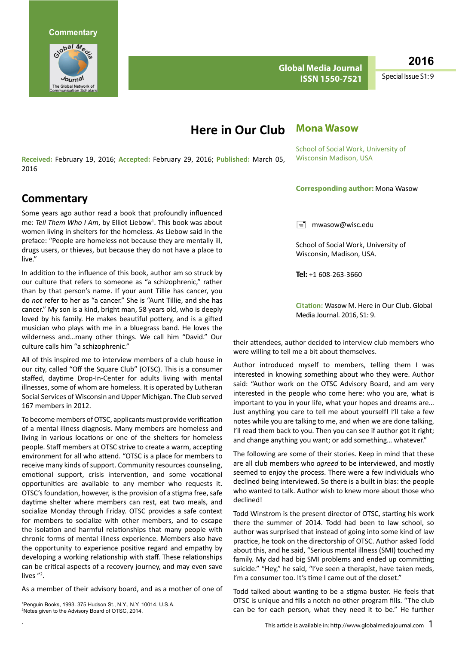

**Global Media Journal ISSN 1550-7521**

**2016**

Special Issue S1: 9

# **Mona Wasow Here in Our Club**

**Received:** February 19, 2016; **Accepted:** February 29, 2016; **Published:** March 05, 2016

## **Commentary**

Some years ago author read a book that profoundly influenced me: Tell Them Who I Am, by Elliot Liebow<sup>1</sup>. This book was about women living in shelters for the homeless. As Liebow said in the preface: "People are homeless not because they are mentally ill, drugs users, or thieves, but because they do not have a place to live."

In addition to the influence of this book, author am so struck by our culture that refers to someone as "a schizophrenic," rather than by that person's name. If your aunt Tillie has cancer, you do *not* refer to her as "a cancer." She is "Aunt Tillie, and she has cancer." My son is a kind, bright man, 58 years old, who is deeply loved by his family. He makes beautiful pottery, and is a gifted musician who plays with me in a bluegrass band. He loves the wilderness and…many other things. We call him "David." Our culture calls him "a schizophrenic."

All of this inspired me to interview members of a club house in our city, called "Off the Square Club" (OTSC). This is a consumer staffed, daytime Drop-In-Center for adults living with mental illnesses, some of whom are homeless. It is operated by Lutheran Social Services of Wisconsin and Upper Michigan. The Club served 167 members in 2012.

To become members of OTSC, applicants must provide verification of a mental illness diagnosis. Many members are homeless and living in various locations or one of the shelters for homeless people. Staff members at OTSC strive to create a warm, accepting environment for all who attend. "OTSC is a place for members to receive many kinds of support. Community resources counseling, emotional support, crisis intervention, and some vocational opportunities are available to any member who requests it. OTSC's foundation, however, is the provision of a stigma free, safe daytime shelter where members can rest, eat two meals, and socialize Monday through Friday. OTSC provides a safe context for members to socialize with other members, and to escape the isolation and harmful relationships that many people with chronic forms of mental illness experience. Members also have the opportunity to experience positive regard and empathy by developing a working relationship with staff. These relationships can be critical aspects of a recovery journey, and may even save lives "<sup>2</sup>.

As a member of their advisory board, and as a mother of one of

1 Penguin Books, 1993. 375 Hudson St., N.Y., N.Y. 10014. U.S.A. 2 Notes given to the Advisory Board of OTSC, 2014.

School of Social Work, University of Wisconsin Madison, USA

### **Corresponding author:** Mona Wasow

 $\equiv$  [mwasow@wisc.edu](mailto:mwasow@wisc.edu)

School of Social Work, University of Wisconsin, Madison, USA.

**Tel:** +1 608-263-3660

**Citation:** Wasow M. Here in Our Club. Global Media Journal. 2016, S1: 9.

their attendees, author decided to interview club members who were willing to tell me a bit about themselves.

Author introduced myself to members, telling them I was interested in knowing something about who they were. Author said: "Author work on the OTSC Advisory Board, and am very interested in the people who come here: who you are, what is important to you in your life, what your hopes and dreams are… Just anything you care to tell me about yourself! I'll take a few notes while you are talking to me, and when we are done talking, I'll read them back to you. Then you can see if author got it right; and change anything you want; or add something… whatever."

The following are some of their stories. Keep in mind that these are all club members who *agreed* to be interviewed, and mostly seemed to enjoy the process. There were a few individuals who declined being interviewed. So there is a built in bias: the people who wanted to talk. Author wish to knew more about those who declined!

Todd Winstrom is the present director of OTSC, starting his work there the summer of 2014. Todd had been to law school, so author was surprised that instead of going into some kind of law practice, he took on the directorship of OTSC. Author asked Todd about this, and he said, "Serious mental illness (SMI) touched my family. My dad had big SMI problems and ended up committing suicide." "Hey," he said, "I've seen a therapist, have taken meds, I'm a consumer too. It's time I came out of the closet."

Todd talked about wanting to be a stigma buster. He feels that OTSC is unique and fills a notch no other program fills. "The club can be for each person, what they need it to be." He further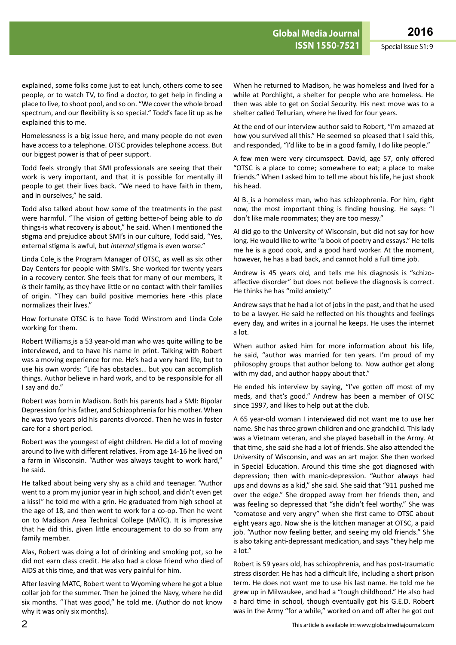explained, some folks come just to eat lunch, others come to see people, or to watch TV, to find a doctor, to get help in finding a place to live, to shoot pool, and so on. "We cover the whole broad spectrum, and our flexibility is so special." Todd's face lit up as he explained this to me.

Homelessness is a big issue here, and many people do not even have access to a telephone. OTSC provides telephone access. But our biggest power is that of peer support.

Todd feels strongly that SMI professionals are seeing that their work is very important, and that it is possible for mentally ill people to get their lives back. "We need to have faith in them, and in ourselves," he said.

Todd also talked about how some of the treatments in the past were harmful. "The vision of getting better-of being able to *do* things-is what recovery is about," he said. When I mentioned the stigma and prejudice about SMI's in our culture, Todd said, "Yes, external stigma is awful, but *internal* stigma is even worse."

Linda Cole\_is the Program Manager of OTSC, as well as six other Day Centers for people with SMI's. She worked for twenty years in a recovery center. She feels that for many of our members, it *is* their family, as they have little or no contact with their families of origin. "They can build positive memories here -this place normalizes their lives."

How fortunate OTSC is to have Todd Winstrom and Linda Cole working for them.

Robert Williams is a 53 year-old man who was quite willing to be interviewed, and to have his name in print. Talking with Robert was a moving experience for me. He's had a very hard life, but to use his own words: "Life has obstacles… but you can accomplish things. Author believe in hard work, and to be responsible for all I say and do."

Robert was born in Madison. Both his parents had a SMI: Bipolar Depression for his father, and Schizophrenia for his mother. When he was two years old his parents divorced. Then he was in foster care for a short period.

Robert was the youngest of eight children. He did a lot of moving around to live with different relatives. From age 14-16 he lived on a farm in Wisconsin. "Author was always taught to work hard," he said.

He talked about being very shy as a child and teenager. "Author went to a prom my junior year in high school, and didn't even get a kiss!" he told me with a grin. He graduated from high school at the age of 18, and then went to work for a co-op. Then he went on to Madison Area Technical College (MATC). It is impressive that he did this, given little encouragement to do so from any family member.

Alas, Robert was doing a lot of drinking and smoking pot, so he did not earn class credit. He also had a close friend who died of AIDS at this time, and that was very painful for him.

After leaving MATC, Robert went to Wyoming where he got a blue collar job for the summer. Then he joined the Navy, where he did six months. "That was good," he told me. (Author do not know why it was only six months).

When he returned to Madison, he was homeless and lived for a while at Porchlight, a shelter for people who are homeless. He then was able to get on Social Security. His next move was to a shelter called Tellurian, where he lived for four years.

At the end of our interview author said to Robert, "I'm amazed at how you survived all this." He seemed so pleased that I said this, and responded, "I'd like to be in a good family, I do like people."

A few men were very circumspect. David, age 57, only offered "OTSC is a place to come; somewhere to eat; a place to make friends." When I asked him to tell me about his life, he just shook his head.

Al B. is a homeless man, who has schizophrenia. For him, right now, the most important thing is finding housing. He says: "I don't like male roommates; they are too messy."

Al did go to the University of Wisconsin, but did not say for how long. He would like to write "a book of poetry and essays." He tells me he is a good cook, and a good hard worker. At the moment, however, he has a bad back, and cannot hold a full time job.

Andrew is 45 years old, and tells me his diagnosis is "schizoaffective disorder" but does not believe the diagnosis is correct. He thinks he has "mild anxiety."

Andrew says that he had a lot of jobs in the past, and that he used to be a lawyer. He said he reflected on his thoughts and feelings every day, and writes in a journal he keeps. He uses the internet a lot.

When author asked him for more information about his life, he said, "author was married for ten years. I'm proud of my philosophy groups that author belong to. Now author get along with my dad, and author happy about that."

He ended his interview by saying, "I've gotten off most of my meds, and that's good." Andrew has been a member of OTSC since 1997, and likes to help out at the club.

A 65 year-old woman I interviewed did not want me to use her name. She has three grown children and one grandchild. This lady was a Vietnam veteran, and she played baseball in the Army. At that time, she said she had a lot of friends. She also attended the University of Wisconsin, and was an art major. She then worked in Special Education. Around this time she got diagnosed with depression; then with manic-depression. "Author always had ups and downs as a kid," she said. She said that "911 pushed me over the edge." She dropped away from her friends then, and was feeling so depressed that "she didn't feel worthy." She was "comatose and very angry" when she first came to OTSC about eight years ago. Now she is the kitchen manager at OTSC, a paid job. "Author now feeling better, and seeing my old friends." She is also taking anti-depressant medication, and says "they help me a lot."

Robert is 59 years old, has schizophrenia, and has post-traumatic stress disorder. He has had a difficult life, including a short prison term. He does not want me to use his last name. He told me he grew up in Milwaukee, and had a "tough childhood." He also had a hard time in school, though eventually got his G.E.D. Robert was in the Army "for a while," worked on and off after he got out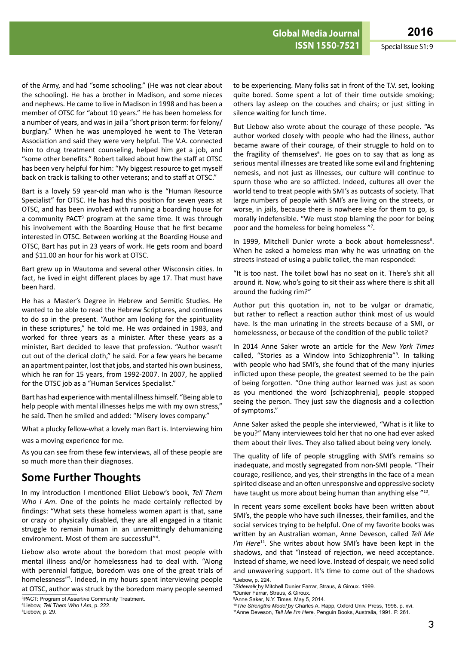of the Army, and had "some schooling." (He was not clear about the schooling). He has a brother in Madison, and some nieces and nephews. He came to live in Madison in 1998 and has been a member of OTSC for "about 10 years." He has been homeless for a number of years, and was in jail a "short prison term: for felony/ burglary." When he was unemployed he went to The Veteran Association and said they were very helpful. The V.A. connected him to drug treatment counseling, helped him get a job, and "some other benefits." Robert talked about how the staff at OTSC has been very helpful for him: "My biggest resource to get myself back on track is talking to other veterans; and to staff at OTSC."

Bart is a lovely 59 year-old man who is the "Human Resource Specialist" for OTSC. He has had this position for seven years at OTSC, and has been involved with running a boarding house for a community PACT<sup>3</sup> program at the same time. It was through his involvement with the Boarding House that he first became interested in OTSC. Between working at the Boarding House and OTSC, Bart has put in 23 years of work. He gets room and board and \$11.00 an hour for his work at OTSC.

Bart grew up in Wautoma and several other Wisconsin cities. In fact, he lived in eight different places by age 17. That must have been hard.

He has a Master's Degree in Hebrew and Semitic Studies. He wanted to be able to read the Hebrew Scriptures, and continues to do so in the present. "Author am looking for the spirituality in these scriptures," he told me. He was ordained in 1983, and worked for three years as a minister. After these years as a minister, Bart decided to leave that profession. "Author wasn't cut out of the clerical cloth," he said. For a few years he became an apartment painter, lost that jobs, and started his own business, which he ran for 15 years, from 1992-2007. In 2007, he applied for the OTSC job as a "Human Services Specialist."

Bart has had experience with mental illness himself. "Being able to help people with mental illnesses helps me with my own stress," he said. Then he smiled and added: "Misery loves company."

What a plucky fellow-what a lovely man Bart is. Interviewing him

was a moving experience for me.

As you can see from these few interviews, all of these people are so much more than their diagnoses.

## **Some Further Thoughts**

In my introduction I mentioned Elliot Liebow's book, *Tell Them Who I Am*. One of the points he made certainly reflected by findings: "What sets these homeless women apart is that, sane or crazy or physically disabled, they are all engaged in a titanic struggle to remain human in an unremittingly dehumanizing environment. Most of them are successful"4 .

Liebow also wrote about the boredom that most people with mental illness and/or homelessness had to deal with. "Along with perennial fatigue, boredom was one of the great trials of homelessness"5 . Indeed, in my hours spent interviewing people at OTSC, author was struck by the boredom many people seemed

5 Liebow, p. 29.

to be experiencing. Many folks sat in front of the T.V. set, looking quite bored. Some spent a lot of their time outside smoking; others lay asleep on the couches and chairs; or just sitting in silence waiting for lunch time.

But Liebow also wrote about the courage of these people. "As author worked closely with people who had the illness, author became aware of their courage, of their struggle to hold on to the fragility of themselves<sup>6</sup>. He goes on to say that as long as serious mental illnesses are treated like some evil and frightening nemesis, and not just as illnesses, our culture will continue to spurn those who are so afflicted. Indeed, cultures all over the world tend to treat people with SMI's as outcasts of society. That large numbers of people with SMI's are living on the streets, or worse, in jails, because there is nowhere else for them to go, is morally indefensible. "We must stop blaming the poor for being poor and the homeless for being homeless "7 .

In 1999, Mitchell Dunier wrote a book about homelessness<sup>8</sup>. When he asked a homeless man why he was urinating on the streets instead of using a public toilet, the man responded:

"It is too nast. The toilet bowl has no seat on it. There's shit all around it. Now, who's going to sit their ass where there is shit all around the fucking rim?"

Author put this quotation in, not to be vulgar or dramatic, but rather to reflect a reaction author think most of us would have. Is the man urinating in the streets because of a SMI, or homelessness, or because of the condition of the public toilet?

In 2014 Anne Saker wrote an article for the *New York Times* called, "Stories as a Window into Schizophrenia"<sup>9</sup>. In talking with people who had SMI's, she found that of the many injuries inflicted upon these people, the greatest seemed to be the pain of being forgotten. "One thing author learned was just as soon as you mentioned the word [schizophrenia], people stopped seeing the person. They just saw the diagnosis and a collection of symptoms."

Anne Saker asked the people she interviewed, "What is it like to be you?" Many interviewees told her that no one had ever asked them about their lives. They also talked about being very lonely.

The quality of life of people struggling with SMI's remains so inadequate, and mostly segregated from non-SMI people. "Their courage, resilience, and yes, their strengths in the face of a mean spirited disease and an often unresponsive and oppressive society have taught us more about being human than anything else "10.

In recent years some excellent books have been written about SMI's, the people who have such illnesses, their families, and the social services trying to be helpful. One of my favorite books was written by an Australian woman, Anne Deveson, called *Tell Me I'm Here*<sup>11</sup>. She writes about how SMI's have been kept in the shadows, and that "Instead of rejection, we need acceptance. Instead of shame, we need love. Instead of despair, we need solid and unwavering support. It's time to come out of the shadows 6 Liebow, p. 224.

<sup>3</sup> PACT: Program of Assertive Community Treatment.

<sup>4</sup> Liebow, *Tell Them Who I Am*, p. 222.

<sup>7</sup> *Sidewalk* by Mitchell Dunier Farrar, Straus, & Giroux. 1999.

<sup>8</sup> Dunier Farrar, Straus, & Giroux.

<sup>9</sup> Anne Saker, N.Y. Times, May 5, 2014.

<sup>10</sup>*The Strengths Model* by Charles A. Rapp, Oxford Univ. Press, 1998. p. xvi.

<sup>11</sup>Anne Deveson, *Tell Me I'm Here*. Penguin Books, Australia, 1991. P. 261.